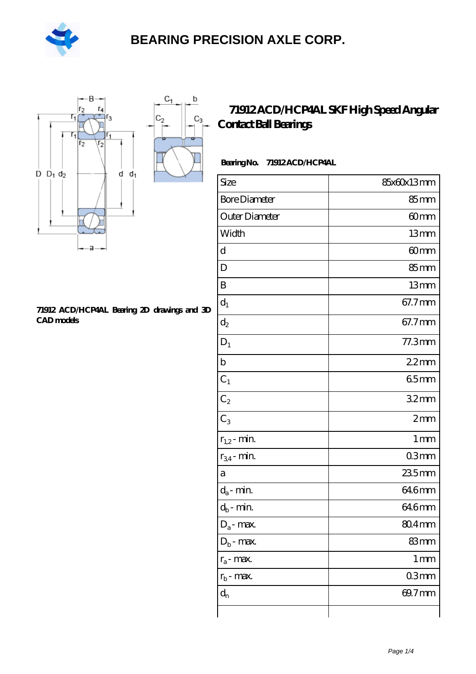



#### **[71912 ACD/HCP4AL Bearing 2D drawings and 3D](https://m.hilalanaokulu.com/pic-660814.html) [CAD models](https://m.hilalanaokulu.com/pic-660814.html)**

### **[71912 ACD/HCP4AL SKF High Speed Angular](https://m.hilalanaokulu.com/skf-bearings/71912-acd-hcp4al.html) [Contact Ball Bearings](https://m.hilalanaokulu.com/skf-bearings/71912-acd-hcp4al.html)**

### **Bearing No. 71912 ACD/HCP4AL**

| Size                       | 85x60x13mm        |
|----------------------------|-------------------|
| <b>Bore Diameter</b>       | 85mm              |
| Outer Diameter             | 60mm              |
| Width                      | 13mm              |
| d                          | 60mm              |
| D                          | 85mm              |
| B                          | 13mm              |
| $d_1$                      | 67.7mm            |
| $d_2$                      | 67.7mm            |
| $D_1$                      | $77.3$ mm         |
| $\mathbf b$                | 22mm              |
| $C_1$                      | 65mm              |
| $C_2$                      | 32 <sub>mm</sub>  |
| $\overline{C_3}$           | 2 <sub>mm</sub>   |
| $r_{1,2}$ - min.           | 1 <sub>mm</sub>   |
| $r_{34}$ - min.            | 03mm              |
| a                          | 235mm             |
| $d_a$ - min.               | 646mm             |
| $d_b\operatorname{-} \min$ | 646mm             |
| $D_a$ - max.               | 80.4mm            |
| $D_b$ - max.               | 83mm              |
| $r_a$ - max.               | $1 \,\mathrm{mm}$ |
| $r_{b}$ - max.             | 03mm              |
| $d_n$                      | 69.7mm            |
|                            |                   |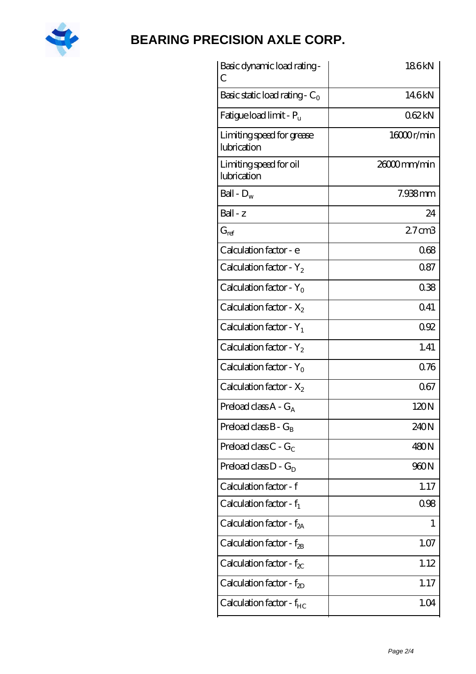

| Basic dynamic load rating -<br>С         | 186kN             |
|------------------------------------------|-------------------|
| Basic static load rating - $C_0$         | 146kN             |
| Fatigue load limit - P <sub>u</sub>      | 062kN             |
| Limiting speed for grease<br>lubrication | 16000r/min        |
| Limiting speed for oil<br>lubrication    | $2600$ mm/min     |
| Ball - $D_w$                             | 7.938mm           |
| Ball - z                                 | 24                |
| $G_{ref}$                                | 27 <sub>cm3</sub> |
| Calculation factor - e                   | 068               |
| Calculation factor - $Y_2$               | 087               |
| Calculation factor - $Y_0$               | 038               |
| Calculation factor - $X_2$               | 0.41              |
| Calculation factor - $Y_1$               | 092               |
| Calculation factor - $Y_2$               | 1.41              |
| Calculation factor - $Y_0$               | 0.76              |
| Calculation factor - $X_2$               | 067               |
| Preload class $A - G_A$                  | 120N              |
| Preload class $B - G_B$                  | 240N              |
| Preload class $C - G_C$                  | 480N              |
| Preload class $D - G_D$                  | 960N              |
| Calculation factor - f                   | 1.17              |
| Calculation factor - $f_1$               | 0.98              |
| Calculation factor - $f_{2A}$            | 1                 |
| Calculation factor - $f_{2B}$            | 1.07              |
| Calculation factor - $f_{\chi}$          | 1.12              |
| Calculation factor - $f_{2D}$            | 1.17              |
| Calculation factor - $f_{HC}$            | 1.04              |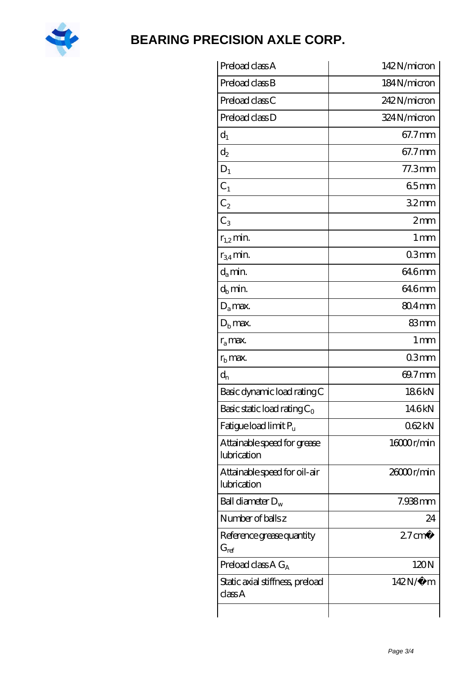

| Preload class A                             | 142N/micron       |
|---------------------------------------------|-------------------|
| Preload class B                             | 184N/micron       |
| Preload class C                             | 242N/micron       |
| Preload class D                             | 324N/micron       |
| $d_1$                                       | 67.7mm            |
| $\mathrm{d}_2$                              | 67.7mm            |
| $D_1$                                       | $77.3$ mm         |
| $C_{1}$                                     | 65mm              |
| $C_2$                                       | 32mm              |
| $C_3$                                       | 2mm               |
| $r_{1,2}$ min.                              | $1 \,\mathrm{mm}$ |
| $r_{34}$ min.                               | 03mm              |
| $d_a$ min.                                  | 64.6mm            |
| $d_b$ min.                                  | 646mm             |
| $D_a$ max.                                  | 80.4mm            |
| $D_{b}$ max.                                | 83 <sub>mm</sub>  |
| $r_a$ max.                                  | 1 mm              |
| $rb$ max.                                   | 03mm              |
| $d_{n}$                                     | 69.7mm            |
| Basic dynamic load rating C                 | 186kN             |
| Basic static load rating $C_0$              | 146kN             |
| Fatigue load limit Pu                       | 062kN             |
| Attainable speed for grease<br>lubrication  | 16000r/min        |
| Attainable speed for oil-air<br>lubrication | 26000r/min        |
| Ball diameter $D_w$                         | 7.938mm           |
| Number of balls z                           | 24                |
| Reference grease quantity<br>$G_{ref}$      | $27 \text{ cm}^3$ |
| Preload class A $G_A$                       | 120N              |
| Static axial stiffness, preload<br>classA   | 142N/μ m          |
|                                             |                   |